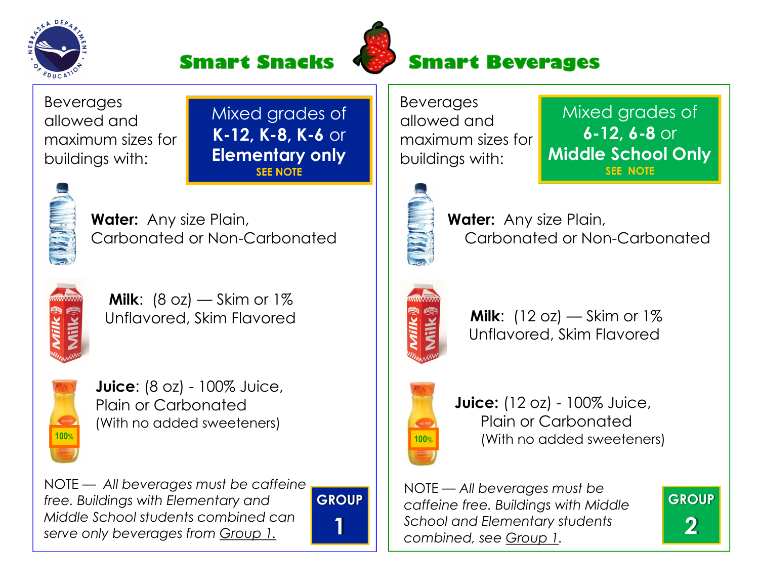





## **Smart Beverages**

Beverages allowed and maximum sizes for buildings with:

Mixed grades of K-12, K-8, K-6 or Elementary only SEE NOTE



Water: Any size Plain, Carbonated or Non-Carbonated



**Milk:**  $(8 \text{ oz})$  – Skim or  $1\%$ Unflavored, Skim Flavored



Juice: (8 oz) - 100% Juice, Plain or Carbonated (With no added sweeteners) 100% <mark>по последните се од селото на селото на селото на селото на селото на селото на селото на селото на селото н</mark>

NOTE — All beverages must be caffeine free. Buildings with Elementary and Middle School students combined can serve only beverages from Group 1.



Beverages allowed and maximum sizes for buildings with:

Mixed grades of 6-12, 6-8 or Middle School Only SEE NOTE

**GROUP** 

2



Water: Any size Plain, Carbonated or Non-Carbonated



**Milk:**  $(12 oz)$  – Skim or  $1\%$ Unflavored, Skim Flavored



**Juice:** (12 oz) - 100% Juice, Plain or Carbonated (With no added sweeteners)

NOTE — All beverages must be caffeine free. Buildings with Middle School and Elementary students combined, see Group 1.